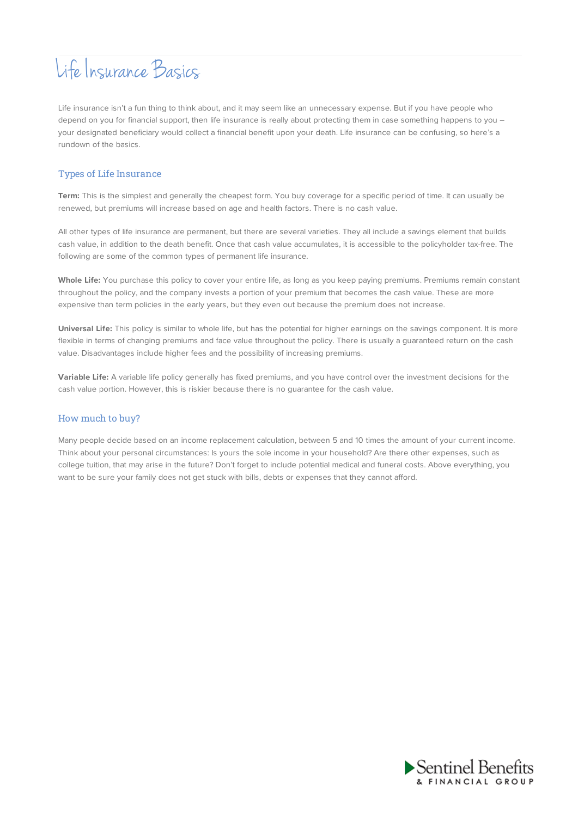## Life Insurance Basics

Life insurance isn't a fun thing to think about, and it may seem like an unnecessary expense. But if you have people who depend on you for financial support, then life insurance is really about protecting them in case something happens to you – your designated beneficiary would collect a financial benefit upon your death. Life insurance can be confusing, so here's a rundown of the basics.

## Types of Life Insurance

**Term:** This is the simplest and generally the cheapest form. You buy coverage for a specific period of time. It can usually be renewed, but premiums will increase based on age and health factors. There is no cash value.

All other types of life insurance are permanent, but there are several varieties. They all include a savings element that builds cash value, in addition to the death benefit. Once that cash value accumulates, it is accessible to the policyholder tax-free. The following are some of the common types of permanent life insurance.

**Whole Life:** You purchase this policy to cover your entire life, as long as you keep paying premiums. Premiums remain constant throughout the policy, and the company invests a portion of your premium that becomes the cash value. These are more expensive than term policies in the early years, but they even out because the premium does not increase.

**Universal Life:** This policy is similar to whole life, but has the potential for higher earnings on the savings component. It is more flexible in terms of changing premiums and face value throughout the policy. There is usually a guaranteed return on the cash value. Disadvantages include higher fees and the possibility of increasing premiums.

**Variable Life:** A variable life policy generally has fixed premiums, and you have control over the investment decisions for the cash value portion. However, this is riskier because there is no guarantee for the cash value.

## How much to buy?

Many people decide based on an income replacement calculation, between 5 and 10 times the amount of your current income. Think about your personal circumstances: Is yours the sole income in your household? Are there other expenses, such as college tuition, that may arise in the future? Don't forget to include potential medical and funeral costs. Above everything, you want to be sure your family does not get stuck with bills, debts or expenses that they cannot afford.